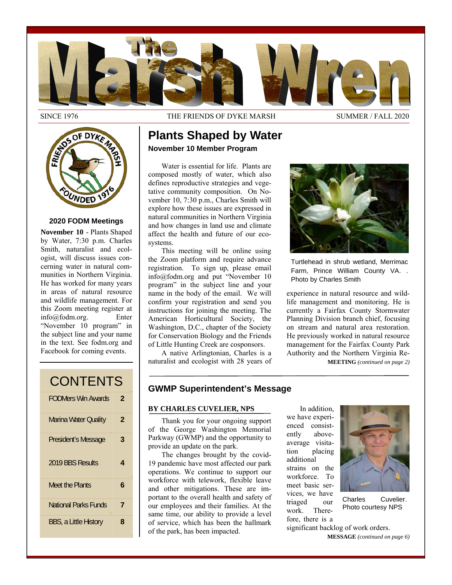

SINCE 1976 THE FRIENDS OF DYKE MARSH SUMMER / FALL 2020

Water is essential for life. Plants are composed mostly of water, which also defines reproductive strategies and vegetative community composition. On November 10, 7:30 p.m., Charles Smith will explore how these issues are expressed in natural communities in Northern Virginia and how changes in land use and climate affect the health and future of our eco-

**Plants Shaped by Water** 

**November 10 Member Program** 

This meeting will be online using the Zoom platform and require advance registration. To sign up, please email info@fodm.org and put "November 10 program" in the subject line and your name in the body of the email. We will confirm your registration and send you instructions for joining the meeting. The American Horticultural Society, the Washington, D.C., chapter of the Society for Conservation Biology and the Friends of Little Hunting Creek are cosponsors. A native Arlingtonian, Charles is a naturalist and ecologist with 28 years of

systems.



### **2020 FODM Meetings**

**November 10** - Plants Shaped by Water, 7:30 p.m. Charles Smith, naturalist and ecologist, will discuss issues concerning water in natural communities in Northern Virginia. He has worked for many years in areas of natural resource and wildlife management. For this Zoom meeting register at<br>info@fodm.org. Enter  $info@f$ odm.org. "November 10 program" in the subject line and your name in the text. See fodm.org and Facebook for coming events.

Turtlehead in shrub wetland, Merrimac Farm, Prince William County VA. . Photo by Charles Smith

experience in natural resource and wildlife management and monitoring. He is currently a Fairfax County Stormwater Planning Division branch chief, focusing on stream and natural area restoration. He previously worked in natural resource management for the Fairfax County Park Authority and the Northern Virginia Re-

**MEETING** *(continued on page 2)* 

| <b>CONTENTS</b>              |   |  |
|------------------------------|---|--|
| <b>FODMers Win Awards</b>    | 2 |  |
| <b>Marina Water Quality</b>  | 2 |  |
| President's Message          | 3 |  |
| 2019 BBS Results             | 4 |  |
| <b>Meet the Plants</b>       | 6 |  |
| <b>National Parks Funds</b>  | 7 |  |
| <b>BBS, a Little History</b> | 8 |  |

# **GWMP Superintendent's Message**

#### **BY CHARLES CUVELIER, NPS**

Thank you for your ongoing support of the George Washington Memorial Parkway (GWMP) and the opportunity to provide an update on the park.

The changes brought by the covid-19 pandemic have most affected our park operations. We continue to support our workforce with telework, flexible leave and other mitigations. These are important to the overall health and safety of our employees and their families. At the same time, our ability to provide a level of service, which has been the hallmark of the park, has been impacted.

In addition, we have experienced consistently aboveaverage visitation placing additional strains on the workforce. To meet basic services, we have triaged our work. Therefore, there is a



Charles Cuvelier. Photo courtesy NPS

significant backlog of work orders.

**MESSAGE** *(continued on page 6)*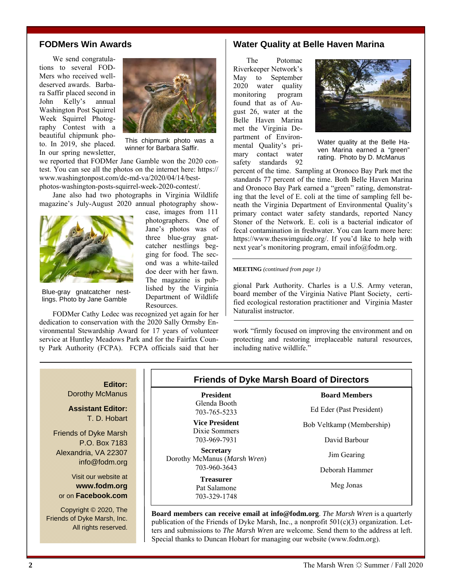# **FODMers Win Awards**

We send congratulations to several FOD-Mers who received welldeserved awards. Barbara Saffir placed second in John Kelly's annual Washington Post Squirrel Week Squirrel Photography Contest with a beautiful chipmunk photo. In 2019, she placed. In our spring newsletter,



This chipmunk photo was a winner for Barbara Saffir.

> case, images from 111 photographers. One of Jane's photos was of three blue-gray gnatcatcher nestlings begging for food. The second was a white-tailed doe deer with her fawn. The magazine is published by the Virginia Department of Wildlife

we reported that FODMer Jane Gamble won the 2020 contest. You can see all the photos on the internet here: https:// www.washingtonpost.com/dc-md-va/2020/04/14/best[photos-washington-posts-squirrel-week-2020-contest/.](https://www.washingtonpost.com/dc-md-va/2020/04/14/best-photos-washington-posts-squirrel-week-2020-contest/) 

Jane also had two photographs in Virginia Wildlife magazine's July-August 2020 annual photography show-



Blue-gray gnatcatcher nestlings. Photo by Jane Gamble

Resources. FODMer Cathy Ledec was recognized yet again for her dedication to conservation with the 2020 Sally Ormsby Environmental Stewardship Award for 17 years of volunteer service at Huntley Meadows Park and for the Fairfax County Park Authority (FCPA). FCPA officials said that her

### **Water Quality at Belle Haven Marina**

The Potomac Riverkeeper Network's May to September 2020 water quality monitoring program found that as of August 26, water at the Belle Haven Marina met the Virginia Department of Environmental Quality's primary contact water safety standards 92



Water quality at the Belle Haven Marina earned a "green" rating. Photo by D. McManus

percent of the time. Sampling at Oronoco Bay Park met the standards 77 percent of the time. Both Belle Haven Marina and Oronoco Bay Park earned a "green" rating, demonstrating that the level of E. coli at the time of sampling fell beneath the Virginia Department of Environmental Quality's primary contact water safety standards, reported Nancy Stoner of the Network. E. coli is a bacterial indicator of fecal contamination in freshwater. You can learn more here: https://www.theswimguide.org/. If you'd like to help with next year's monitoring program, email info@fodm.org.

#### **MEETING** *(continued from page 1)*

gional Park Authority. Charles is a U.S. Army veteran, board member of the Virginia Native Plant Society, certified ecological restoration practitioner and Virginia Master Naturalist instructor.

work "firmly focused on improving the environment and on protecting and restoring irreplaceable natural resources, including native wildlife."

# **Editor:**

Dorothy McManus

**Assistant Editor:**  T. D. Hobart

Friends of Dyke Marsh P.O. Box 7183 Alexandria, VA 22307 info@fodm.org

Visit our website at **www.fodm.org** or on **Facebook.com**

Copyright © 2020, The Friends of Dyke Marsh, Inc. All rights reserved.

# **Friends of Dyke Marsh Board of Directors**

**President** Glenda Booth 703-765-5233

**Vice President**  Dixie Sommers 703-969-7931

**Secretary** Dorothy McManus (*Marsh Wren*) 703-960-3643

> **Treasurer** Pat Salamone 703-329-1748

Ed Eder (Past President)

**Board Members** 

Bob Veltkamp (Membership)

David Barbour

Jim Gearing

Deborah Hammer

Meg Jonas

**Board members can receive email at info@fodm.org**. *The Marsh Wren* is a quarterly publication of the Friends of Dyke Marsh, Inc., a nonprofit  $501(c)(3)$  organization. Letters and submissions to *The Marsh Wren* are welcome. Send them to the address at left. Special thanks to Duncan Hobart for managing our website (www.fodm.org).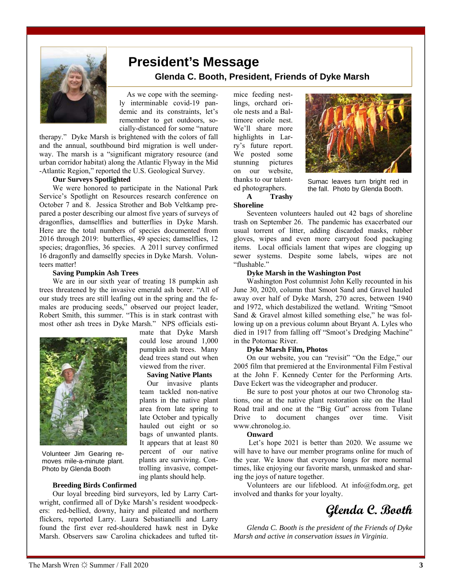

# **President's Message Glenda C. Booth, President, Friends of Dyke Marsh**

 As we cope with the seemingly interminable covid-19 pandemic and its constraints, let's remember to get outdoors, socially-distanced for some "nature

> mate that Dyke Marsh could lose around 1,000 pumpkin ash trees. Many dead trees stand out when viewed from the river.  **Saving Native Plants**  Our invasive plants team tackled non-native plants in the native plant area from late spring to late October and typically hauled out eight or so bags of unwanted plants. It appears that at least 80 percent of our native plants are surviving. Controlling invasive, competing plants should help.

therapy." Dyke Marsh is brightened with the colors of fall and the annual, southbound bird migration is well underway. The marsh is a "significant migratory resource (and urban corridor habitat) along the Atlantic Flyway in the Mid -Atlantic Region," reported the U.S. Geological Survey.

#### **Our Surveys Spotlighted**

We were honored to participate in the National Park Service's Spotlight on Resources research conference on October 7 and 8. Jessica Strother and Bob Veltkamp prepared a poster describing our almost five years of surveys of dragonflies, damselflies and butterflies in Dyke Marsh. Here are the total numbers of species documented from 2016 through 2019: butterflies, 49 species; damselflies, 12 species; dragonflies, 36 species. A 2011 survey confirmed 16 dragonfly and damselfly species in Dyke Marsh. Volunteers matter!

#### **Saving Pumpkin Ash Trees**

We are in our sixth year of treating 18 pumpkin ash trees threatened by the invasive emerald ash borer. "All of our study trees are still leafing out in the spring and the females are producing seeds," observed our project leader, Robert Smith, this summer. "This is in stark contrast with most other ash trees in Dyke Marsh." NPS officials esti-



Volunteer Jim Gearing removes mile-a-minute plant. Photo by Glenda Booth

#### **Breeding Birds Confirmed**

Our loyal breeding bird surveyors, led by Larry Cartwright, confirmed all of Dyke Marsh's resident woodpeckers: red-bellied, downy, hairy and pileated and northern flickers, reported Larry. Laura Sebastianelli and Larry found the first ever red-shouldered hawk nest in Dyke Marsh. Observers saw Carolina chickadees and tufted titmice feeding nestlings, orchard oriole nests and a Baltimore oriole nest. We'll share more highlights in Larry's future report. We posted some stunning pictures on our website, thanks to our talented photographers.



Sumac leaves turn bright red in the fall. Photo by Glenda Booth.

### **A Trashy Shoreline**

Seventeen volunteers hauled out 42 bags of shoreline trash on September 26. The pandemic has exacerbated our usual torrent of litter, adding discarded masks, rubber gloves, wipes and even more carryout food packaging items. Local officials lament that wipes are clogging up sewer systems. Despite some labels, wipes are not "flushable."

#### **Dyke Marsh in the Washington Post**

Washington Post columnist John Kelly recounted in his June 30, 2020, column that Smoot Sand and Gravel hauled away over half of Dyke Marsh, 270 acres, between 1940 and 1972, which destabilized the wetland. Writing "Smoot Sand & Gravel almost killed something else," he was following up on a previous column about Bryant A. Lyles who died in 1917 from falling off "Smoot's Dredging Machine" in the Potomac River.

#### **Dyke Marsh Film, Photos**

On our website, you can "revisit" "On the Edge," our 2005 film that premiered at the Environmental Film Festival at the John F. Kennedy Center for the Performing Arts. Dave Eckert was the videographer and producer.

Be sure to post your photos at our two Chronolog stations, one at the native plant restoration site on the Haul Road trail and one at the "Big Gut" across from Tulane Drive to document changes over time. Visit www.chronolog.io.

#### **Onward**

 Let's hope 2021 is better than 2020. We assume we will have to have our member programs online for much of the year. We know that everyone longs for more normal times, like enjoying our favorite marsh, unmasked and sharing the joys of nature together.

Volunteers are our lifeblood. At info@fodm.org, get involved and thanks for your loyalty.

# **Glenda C. Booth**

*Glenda C. Booth is the president of the Friends of Dyke Marsh and active in conservation issues in Virginia*.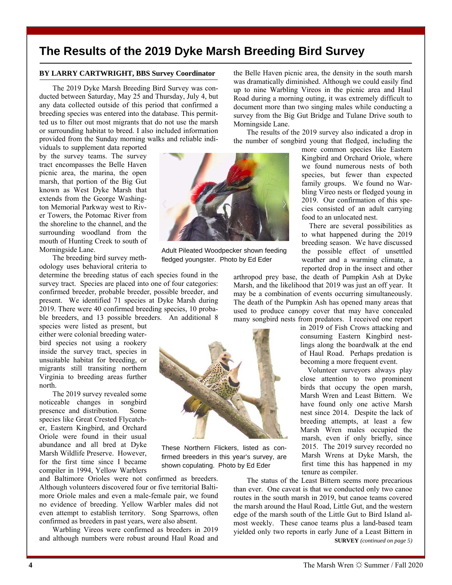# **The Results of the 2019 Dyke Marsh Breeding Bird Survey**

### **BY LARRY CARTWRIGHT, BBS Survey Coordinator**

The 2019 Dyke Marsh Breeding Bird Survey was conducted between Saturday, May 25 and Thursday, July 4, but any data collected outside of this period that confirmed a breeding species was entered into the database. This permitted us to filter out most migrants that do not use the marsh or surrounding habitat to breed. I also included information provided from the Sunday morning walks and reliable indi-

viduals to supplement data reported by the survey teams. The survey tract encompasses the Belle Haven picnic area, the marina, the open marsh, that portion of the Big Gut known as West Dyke Marsh that extends from the George Washington Memorial Parkway west to River Towers, the Potomac River from the shoreline to the channel, and the surrounding woodland from the mouth of Hunting Creek to south of Morningside Lane.

The breeding bird survey methodology uses behavioral criteria to

determine the breeding status of each species found in the survey tract. Species are placed into one of four categories: confirmed breeder, probable breeder, possible breeder, and present. We identified 71 species at Dyke Marsh during 2019. There were 40 confirmed breeding species, 10 probable breeders, and 13 possible breeders. An additional 8

species were listed as present, but either were colonial breeding waterbird species not using a rookery inside the survey tract, species in unsuitable habitat for breeding, or migrants still transiting northern Virginia to breeding areas further north.

The 2019 survey revealed some noticeable changes in songbird presence and distribution. Some species like Great Crested Flycatcher, Eastern Kingbird, and Orchard Oriole were found in their usual abundance and all bred at Dyke Marsh Wildlife Preserve. However, for the first time since I became compiler in 1994, Yellow Warblers

and Baltimore Orioles were not confirmed as breeders. Although volunteers discovered four or five territorial Baltimore Oriole males and even a male-female pair, we found no evidence of breeding. Yellow Warbler males did not even attempt to establish territory. Song Sparrows, often confirmed as breeders in past years, were also absent.

Warbling Vireos were confirmed as breeders in 2019 and although numbers were robust around Haul Road and



Adult Pileated Woodpecker shown feeding fledged youngster. Photo by Ed Eder



These Northern Flickers, listed as confirmed breeders in this year's survey, are shown copulating. Photo by Ed Eder

the Belle Haven picnic area, the density in the south marsh was dramatically diminished. Although we could easily find up to nine Warbling Vireos in the picnic area and Haul Road during a morning outing, it was extremely difficult to document more than two singing males while conducting a survey from the Big Gut Bridge and Tulane Drive south to Morningside Lane.

The results of the 2019 survey also indicated a drop in the number of songbird young that fledged, including the

more common species like Eastern Kingbird and Orchard Oriole, where we found numerous nests of both species, but fewer than expected family groups. We found no Warbling Vireo nests or fledged young in 2019. Our confirmation of this species consisted of an adult carrying food to an unlocated nest.

 There are several possibilities as to what happened during the 2019 breeding season. We have discussed the possible effect of unsettled weather and a warming climate, a reported drop in the insect and other

arthropod prey base, the death of Pumpkin Ash at Dyke Marsh, and the likelihood that 2019 was just an off year. It may be a combination of events occurring simultaneously. The death of the Pumpkin Ash has opened many areas that used to produce canopy cover that may have concealed many songbird nests from predators. I received one report

> in 2019 of Fish Crows attacking and consuming Eastern Kingbird nestlings along the boardwalk at the end of Haul Road. Perhaps predation is becoming a more frequent event.

> Volunteer surveyors always play close attention to two prominent birds that occupy the open marsh, Marsh Wren and Least Bittern. We have found only one active Marsh nest since 2014. Despite the lack of breeding attempts, at least a few Marsh Wren males occupied the marsh, even if only briefly, since 2015. The 2019 survey recorded no Marsh Wrens at Dyke Marsh, the first time this has happened in my tenure as compiler.

The status of the Least Bittern seems more precarious than ever. One caveat is that we conducted only two canoe routes in the south marsh in 2019, but canoe teams covered the marsh around the Haul Road, Little Gut, and the western edge of the marsh south of the Little Gut to Bird Island almost weekly. These canoe teams plus a land-based team yielded only two reports in early June of a Least Bittern in **SURVEY** *(continued on page 5)*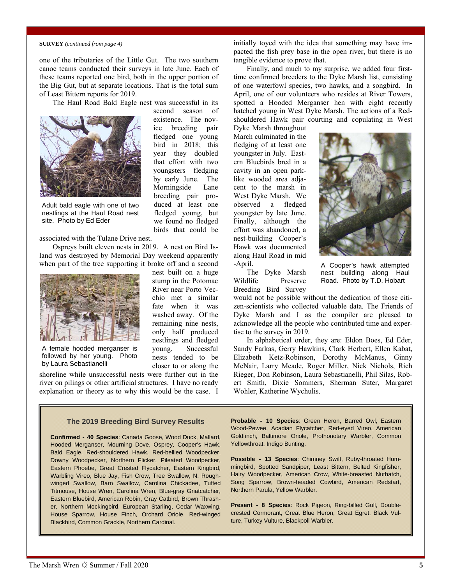#### **SURVEY** *(continued from page 4)*

one of the tributaries of the Little Gut. The two southern canoe teams conducted their surveys in late June. Each of these teams reported one bird, both in the upper portion of the Big Gut, but at separate locations. That is the total sum of Least Bittern reports for 2019.

The Haul Road Bald Eagle nest was successful in its



Adult bald eagle with one of two nestlings at the Haul Road nest site. Photo by Ed Eder

associated with the Tulane Drive nest.

Ospreys built eleven nests in 2019. A nest on Bird Island was destroyed by Memorial Day weekend apparently when part of the tree supporting it broke off and a second



A female hooded merganser is followed by her young. Photo by Laura Sebastianelli

shoreline while unsuccessful nests were further out in the river on pilings or other artificial structures. I have no ready explanation or theory as to why this would be the case. I

second season of existence. The novice breeding pair fledged one young bird in 2018; this year they doubled that effort with two youngsters fledging by early June. The Morningside Lane breeding pair produced at least one fledged young, but we found no fledged birds that could be

nest built on a huge stump in the Potomac River near Porto Vecchio met a similar fate when it was washed away. Of the remaining nine nests, only half produced nestlings and fledged young. Successful nests tended to be closer to or along the initially toyed with the idea that something may have impacted the fish prey base in the open river, but there is no tangible evidence to prove that.

Finally, and much to my surprise, we added four firsttime confirmed breeders to the Dyke Marsh list, consisting of one waterfowl species, two hawks, and a songbird. In April, one of our volunteers who resides at River Towers, spotted a Hooded Merganser hen with eight recently hatched young in West Dyke Marsh. The actions of a Redshouldered Hawk pair courting and copulating in West

Dyke Marsh throughout March culminated in the fledging of at least one youngster in July. Eastern Bluebirds bred in a cavity in an open parklike wooded area adjacent to the marsh in West Dyke Marsh. We observed a fledged youngster by late June. Finally, although the effort was abandoned, a nest-building Cooper's Hawk was documented along Haul Road in mid -April.



The Dyke Marsh Wildlife Preserve Breeding Bird Survey

A Cooper's hawk attempted nest building along Haul Road. Photo by T.D. Hobart

would not be possible without the dedication of those citizen-scientists who collected valuable data. The Friends of Dyke Marsh and I as the compiler are pleased to acknowledge all the people who contributed time and expertise to the survey in 2019.

In alphabetical order, they are: Eldon Boes, Ed Eder, Sandy Farkas, Gerry Hawkins, Clark Herbert, Ellen Kabat, Elizabeth Ketz-Robinson, Dorothy McManus, Ginny McNair, Larry Meade, Roger Miller, Nick Nichols, Rich Rieger, Don Robinson, Laura Sebastianelli, Phil Silas, Robert Smith, Dixie Sommers, Sherman Suter, Margaret Wohler, Katherine Wychulis.

#### **The 2019 Breeding Bird Survey Results**

**Confirmed - 40 Species**: Canada Goose, Wood Duck, Mallard, Hooded Merganser, Mourning Dove, Osprey, Cooper's Hawk, Bald Eagle, Red-shouldered Hawk, Red-bellied Woodpecker, Downy Woodpecker, Northern Flicker, Pileated Woodpecker, Eastern Phoebe, Great Crested Flycatcher, Eastern Kingbird, Warbling Vireo, Blue Jay, Fish Crow, Tree Swallow, N. Roughwinged Swallow, Barn Swallow, Carolina Chickadee, Tufted Titmouse, House Wren, Carolina Wren, Blue-gray Gnatcatcher, Eastern Bluebird, American Robin, Gray Catbird, Brown Thrasher, Northern Mockingbird, European Starling, Cedar Waxwing, House Sparrow, House Finch, Orchard Oriole, Red-winged Blackbird, Common Grackle, Northern Cardinal.

**Probable - 10 Species**: Green Heron, Barred Owl, Eastern Wood-Pewee, Acadian Flycatcher, Red-eyed Vireo, American Goldfinch, Baltimore Oriole, Prothonotary Warbler, Common Yellowthroat, Indigo Bunting.

**Possible - 13 Species**: Chimney Swift, Ruby-throated Hummingbird, Spotted Sandpiper, Least Bittern, Belted Kingfisher, Hairy Woodpecker, American Crow, White-breasted Nuthatch, Song Sparrow, Brown-headed Cowbird, American Redstart, Northern Parula, Yellow Warbler.

**Present - 8 Species**: Rock Pigeon, Ring-billed Gull, Doublecrested Cormorant, Great Blue Heron, Great Egret, Black Vulture, Turkey Vulture, Blackpoll Warbler.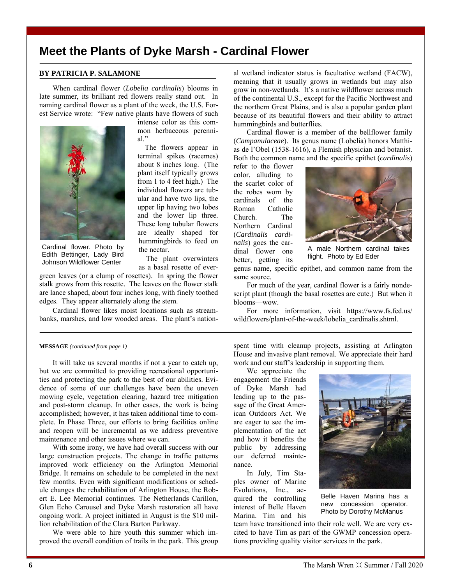# **Meet the Plants of Dyke Marsh - Cardinal Flower**

### **BY PATRICIA P. SALAMONE**

When cardinal flower (*Lobelia cardinalis*) blooms in late summer, its brilliant red flowers really stand out. In naming cardinal flower as a plant of the week, the U.S. Forest Service wrote: "Few native plants have flowers of such



mon herbaceous perennial." The flowers appear in

intense color as this com-

terminal spikes (racemes) about 8 inches long. (The plant itself typically grows from 1 to 4 feet high.) The individual flowers are tubular and have two lips, the upper lip having two lobes and the lower lip three. These long tubular flowers are ideally shaped for hummingbirds to feed on the nectar.

Cardinal flower. Photo by Edith Bettinger, Lady Bird Johnson Wildflower Center

 The plant overwinters as a basal rosette of ever-

green leaves (or a clump of rosettes). In spring the flower stalk grows from this rosette. The leaves on the flower stalk are lance shaped, about four inches long, with finely toothed edges. They appear alternately along the stem.

Cardinal flower likes moist locations such as streambanks, marshes, and low wooded areas. The plant's national wetland indicator status is facultative wetland (FACW), meaning that it usually grows in wetlands but may also grow in non-wetlands. It's a native wildflower across much of the continental U.S., except for the Pacific Northwest and the northern Great Plains, and is also a popular garden plant because of its beautiful flowers and their ability to attract hummingbirds and butterflies.

Cardinal flower is a member of the bellflower family (*Campanulaceae*). Its genus name (Lobelia) honors Matthias de l'Obel (1538-1616), a Flemish physician and botanist. Both the common name and the specific epithet (*cardinalis*)

refer to the flower color, alluding to the scarlet color of the robes worn by cardinals of the Roman Catholic Church. The Northern Cardinal (*Cardinalis cardinalis*) goes the cardinal flower one better, getting its



A male Northern cardinal takes flight. Photo by Ed Eder

genus name, specific epithet, and common name from the same source.

For much of the year, cardinal flower is a fairly nondescript plant (though the basal rosettes are cute.) But when it blooms—wow.

For more information, visit https://www.fs.fed.us/ [wildflowers/plant-of-the-week/lobelia\\_cardinalis.shtml.](https://www.fs.fed.us/wildflowers/plant-of-the-week/lobelia_cardinalis.shtml) 

#### **MESSAGE** *(continued from page 1)*

It will take us several months if not a year to catch up, but we are committed to providing recreational opportunities and protecting the park to the best of our abilities. Evidence of some of our challenges have been the uneven mowing cycle, vegetation clearing, hazard tree mitigation and post-storm cleanup. In other cases, the work is being accomplished; however, it has taken additional time to complete. In Phase Three, our efforts to bring facilities online and reopen will be incremental as we address preventive maintenance and other issues where we can.

With some irony, we have had overall success with our large construction projects. The change in traffic patterns improved work efficiency on the Arlington Memorial Bridge. It remains on schedule to be completed in the next few months. Even with significant modifications or schedule changes the rehabilitation of Arlington House, the Robert E. Lee Memorial continues. The Netherlands Carillon, Glen Echo Carousel and Dyke Marsh restoration all have ongoing work. A project initiated in August is the \$10 million rehabilitation of the Clara Barton Parkway.

We were able to hire youth this summer which improved the overall condition of trails in the park. This group spent time with cleanup projects, assisting at Arlington House and invasive plant removal. We appreciate their hard work and our staff's leadership in supporting them.

We appreciate the engagement the Friends of Dyke Marsh had leading up to the passage of the Great American Outdoors Act. We are eager to see the implementation of the act and how it benefits the public by addressing our deferred maintenance.

In July, Tim Staples owner of Marine Evolutions, Inc., acquired the controlling interest of Belle Haven Marina. Tim and his



Belle Haven Marina has a new concession operator. Photo by Dorothy McManus

team have transitioned into their role well. We are very excited to have Tim as part of the GWMP concession operations providing quality visitor services in the park.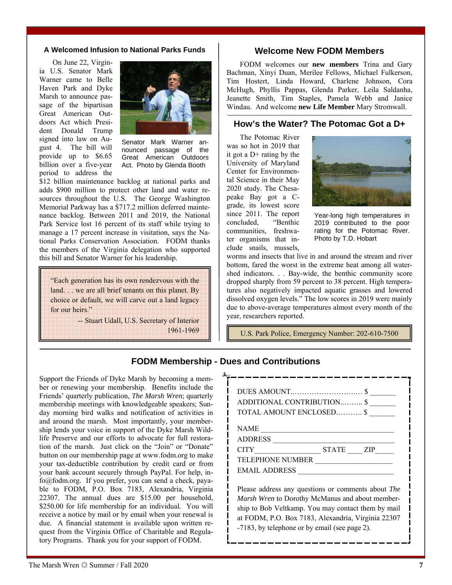#### **A Welcomed Infusion to National Parks Funds**

On June 22, Virginia U.S. Senator Mark Warner came to Belle Haven Park and Dyke Marsh to announce passage of the bipartisan Great American Outdoors Act which President Donald Trump signed into law on August 4. The bill will provide up to \$6.65 billion over a five-year period to address the



Senator Mark Warner announced passage of the Great American Outdoors Act. Photo by Glenda Booth

\$12 billion maintenance backlog at national parks and adds \$900 million to protect other land and water resources throughout the U.S. The George Washington Memorial Parkway has a \$717.2 million deferred maintenance backlog. Between 2011 and 2019, the National Park Service lost 16 percent of its staff while trying to manage a 17 percent increase in visitation, says the National Parks Conservation Association. FODM thanks the members of the Virginia delegation who supported this bill and Senator Warner for his leadership.

"Each generation has its own rendezvous with the land. . . we are all brief tenants on this planet. By choice or default, we will carve out a land legacy for our heirs."

> -- Stuart Udall, U.S. Secretary of Interior 1961-1969

### **Welcome New FODM Members**

FODM welcomes our **new members** Trina and Gary Bachman, Xinyi Duan, Merilee Fellows, Michael Fulkerson, Tim Hostert, Linda Howard, Charlene Johnson, Cora McHugh, Phyllis Pappas, Glenda Parker, Leila Saldanha, Jeanette Smith, Tim Staples, Pamela Webb and Janice Windau. And welcome **new Life Member** Mary Stromwall.

### **How's the Water? The Potomac Got a D+**

The Potomac River was so hot in 2019 that it got a  $D+$  rating by the University of Maryland Center for Environmental Science in their May 2020 study. The Chesapeake Bay got a Cgrade, its lowest score since 2011. The report concluded, "Benthic communities, freshwater organisms that include snails, mussels,



Year-long high temperatures in 2019 contributed to the poor rating for the Potomac River. Photo by T.D. Hobart

worms and insects that live in and around the stream and river bottom, fared the worst in the extreme heat among all watershed indicators. . . Bay-wide, the benthic community score dropped sharply from 59 percent to 38 percent. High temperatures also negatively impacted aquatic grasses and lowered dissolved oxygen levels." The low scores in 2019 were mainly due to above-average temperatures almost every month of the year, researchers reported.

U.S. Park Police, Emergency Number: 202-610-7500

# **FODM Membership - Dues and Contributions**

Support the Friends of Dyke Marsh by becoming a member or renewing your membership. Benefits include the Friends' quarterly publication, *The Marsh Wren*; quarterly membership meetings with knowledgeable speakers; Sunday morning bird walks and notification of activities in and around the marsh. Most importantly, your membership lends your voice in support of the Dyke Marsh Wildlife Preserve and our efforts to advocate for full restoration of the marsh. Just click on the "Join" or "Donate" button on our membership page at www.fodm.org to make your tax-deductible contribution by credit card or from your bank account securely through PayPal. For help, info@fodm.org. If you prefer, you can send a check, payable to FODM, P.O. Box 7183, Alexandria, Virginia 22307. The annual dues are \$15.00 per household, \$250.00 for life membership for an individual*.* You will receive a notice by mail or by email when your renewal is due. A financial statement is available upon written request from the Virginia Office of Charitable and Regulatory Programs. Thank you for your support of FODM.

| DUES AMOUNT\$                                      |  |
|----------------------------------------------------|--|
| ADDITIONAL CONTRIBUTION \$                         |  |
| TOTAL AMOUNT ENCLOSED \$                           |  |
|                                                    |  |
| NAME                                               |  |
| ADDRESS                                            |  |
| $CITY$ $STATE$ $ZIP$                               |  |
| TELEPHONE NUMBER                                   |  |
| EMAIL ADDRESS                                      |  |
|                                                    |  |
| Please address any questions or comments about The |  |
| Marsh Wren to Dorothy McManus and about member-    |  |
| ship to Bob Veltkamp. You may contact them by mail |  |
| at FODM, P.O. Box 7183, Alexandria, Virginia 22307 |  |
| -7183, by telephone or by email (see page 2).      |  |